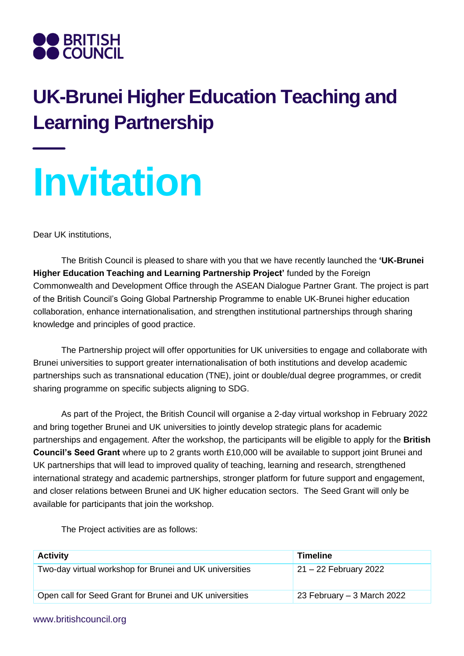

## **UK-Brunei Higher Education Teaching and Learning Partnership**

## **Invitation**

Dear UK institutions,

The British Council is pleased to share with you that we have recently launched the **'UK-Brunei Higher Education Teaching and Learning Partnership Project'** funded by the Foreign Commonwealth and Development Office through the ASEAN Dialogue Partner Grant. The project is part of the British Council's Going Global Partnership Programme to enable UK-Brunei higher education collaboration, enhance internationalisation, and strengthen institutional partnerships through sharing knowledge and principles of good practice.

The Partnership project will offer opportunities for UK universities to engage and collaborate with Brunei universities to support greater internationalisation of both institutions and develop academic partnerships such as transnational education (TNE), joint or double/dual degree programmes, or credit sharing programme on specific subjects aligning to SDG.

As part of the Project, the British Council will organise a 2-day virtual workshop in February 2022 and bring together Brunei and UK universities to jointly develop strategic plans for academic partnerships and engagement. After the workshop, the participants will be eligible to apply for the **British Council's Seed Grant** where up to 2 grants worth £10,000 will be available to support joint Brunei and UK partnerships that will lead to improved quality of teaching, learning and research, strengthened international strategy and academic partnerships, stronger platform for future support and engagement, and closer relations between Brunei and UK higher education sectors. The Seed Grant will only be available for participants that join the workshop.

The Project activities are as follows:

| <b>Activity</b>                                         | <b>Timeline</b>             |
|---------------------------------------------------------|-----------------------------|
| Two-day virtual workshop for Brunei and UK universities | $21 - 22$ February 2022     |
| Open call for Seed Grant for Brunei and UK universities | 23 February $-3$ March 2022 |

## www.britishcouncil.org